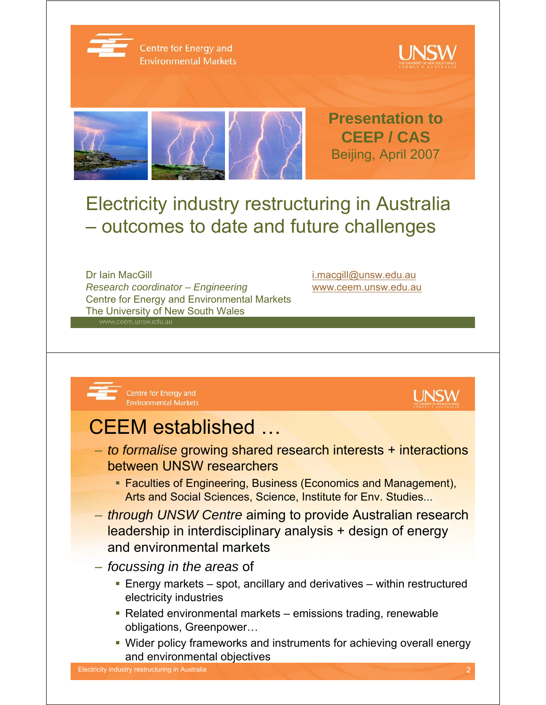

Centre for Energy and **Environmental Markets** 





## Electricity industry restructuring in Australia – outcomes to date and future challenges

Dr Iain MacGill in the control of the control of the i.macgill@unsw.edu.au *Research coordinator – Engineering* www.ceem.unsw.edu.au Centre for Energy and Environmental Markets The University of New South Wales





## CEEM established …

- *to formalise* growing shared research interests + interactions between UNSW researchers
	- **Faculties of Engineering, Business (Economics and Management),** Arts and Social Sciences, Science, Institute for Env. Studies...
- *through UNSW Centre* aiming to provide Australian research leadership in interdisciplinary analysis + design of energy and environmental markets
- *focussing in the areas* of
	- Energy markets spot, ancillary and derivatives within restructured electricity industries
	- Related environmental markets emissions trading, renewable obligations, Greenpower…
	- Wider policy frameworks and instruments for achieving overall energy and environmental objectives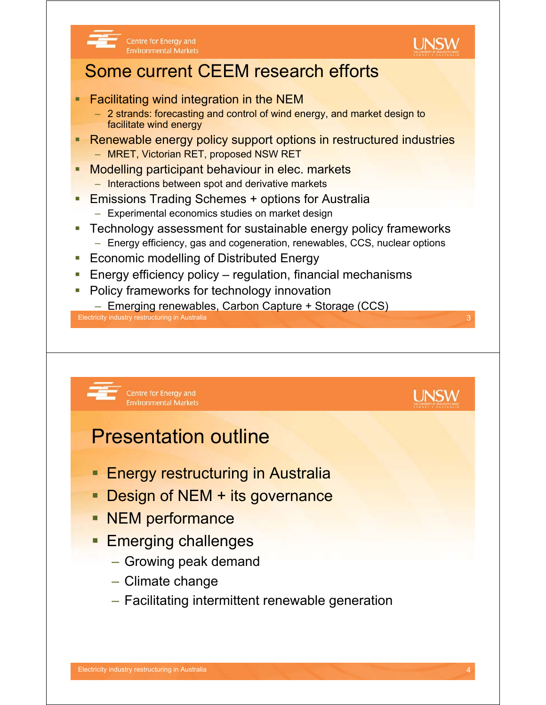

**UNSW** 

#### Some current CEEM research efforts

**Facilitating wind integration in the NEM** 

Centre for Energy and

**Environmental Markets** 

- 2 strands: forecasting and control of wind energy, and market design to facilitate wind energy
- Renewable energy policy support options in restructured industries – MRET, Victorian RET, proposed NSW RET
- Modelling participant behaviour in elec. markets
	- Interactions between spot and derivative markets
- Emissions Trading Schemes + options for Australia
	- Experimental economics studies on market design
- **EXECO EXECO EXECO FIGOLARY TECHNOLOGY SYSTEMS** Technology assessment for sustainable energy policy frameworks
	- Energy efficiency, gas and cogeneration, renewables, CCS, nuclear options
- **Example 20 Exercise Energy Example 20 Exercise** Energy
- Energy efficiency policy regulation, financial mechanisms
- Policy frameworks for technology innovation
- Emerging renewables, Carbon Capture + Storage (CCS)

Electricity industry restructuring in Australia 3

Centre for Energy and **Environmental Markets** 

#### Presentation outline

- Energy restructuring in Australia
- **Design of NEM + its governance**
- **NEM** performance
- **Emerging challenges** 
	- Growing peak demand
	- Climate change
	- Facilitating intermittent renewable generation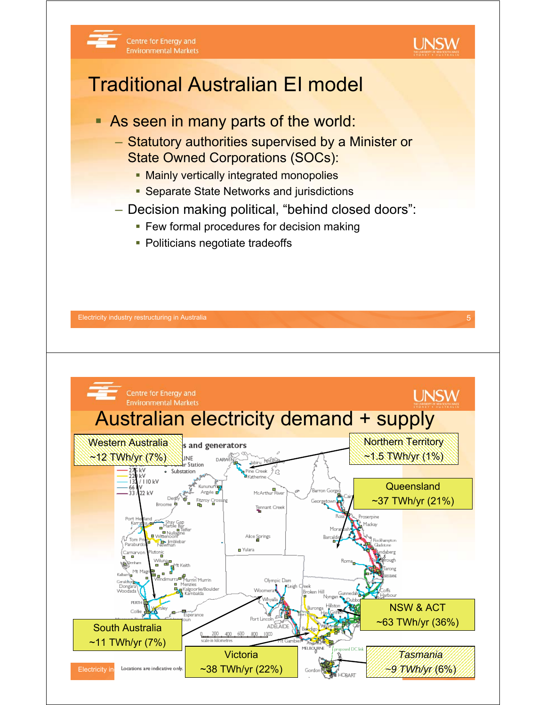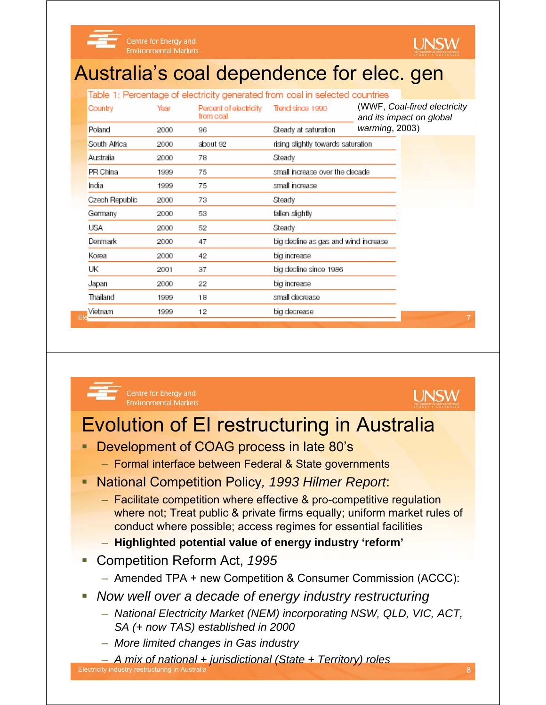



#### Australia's coal dependence for elec. gen

|                |      |                                     | Table 1: Percentage of electricity generated from coal in selected countries |                                                          |
|----------------|------|-------------------------------------|------------------------------------------------------------------------------|----------------------------------------------------------|
| Country        | Year | Percent of electricity<br>from coal | Trend since 1990                                                             | (WWF, Coal-fired electricity<br>and its impact on global |
| Poland         | 2000 | 96                                  | Steady at saturation                                                         | warming, $2003$ )                                        |
| South Africa   | 2000 | about 92                            | rising slightly towards saturation                                           |                                                          |
| Australia      | 2000 | 78                                  | Steady                                                                       |                                                          |
| PR China       | 1999 | 75                                  | small increase over the decade                                               |                                                          |
| India          | 1999 | 75                                  | small increase                                                               |                                                          |
| Czech Republic | 2000 | 73                                  | Steady                                                                       |                                                          |
| Germany        | 2000 | 53                                  | fallen slightly                                                              |                                                          |
| USA            | 2000 | 52                                  | Steady                                                                       |                                                          |
| Denmark        | 2000 | 47                                  | big decline as gas and wind increase                                         |                                                          |
| Korea          | 2000 | 42                                  | big increase                                                                 |                                                          |
| UK             | 2001 | 37                                  | big decline since 1986                                                       |                                                          |
| Japan          | 2000 | 22                                  | big increase                                                                 |                                                          |
| Thailand       | 1999 | 18                                  | small decrease                                                               |                                                          |
| Vietnam        | 1999 | 12                                  | big decrease                                                                 |                                                          |
|                |      |                                     |                                                                              | $\overline{7}$                                           |



Centre for Energy and **Environmental Markets** 



## Evolution of EI restructuring in Australia

- Development of COAG process in late 80's
	- Formal interface between Federal & State governments
- National Competition Policy*, 1993 Hilmer Report*:
	- Facilitate competition where effective & pro-competitive regulation where not; Treat public & private firms equally; uniform market rules of conduct where possible; access regimes for essential facilities
	- **Highlighted potential value of energy industry 'reform'**
- Competition Reform Act, *1995*
	- Amended TPA + new Competition & Consumer Commission (ACCC):
- *Now well over a decade of energy industry restructuring*
	- *National Electricity Market (NEM) incorporating NSW, QLD, VIC, ACT, SA (+ now TAS) established in 2000*
	- *More limited changes in Gas industry*

– *A mix of national + jurisdictional (State + Territory) roles*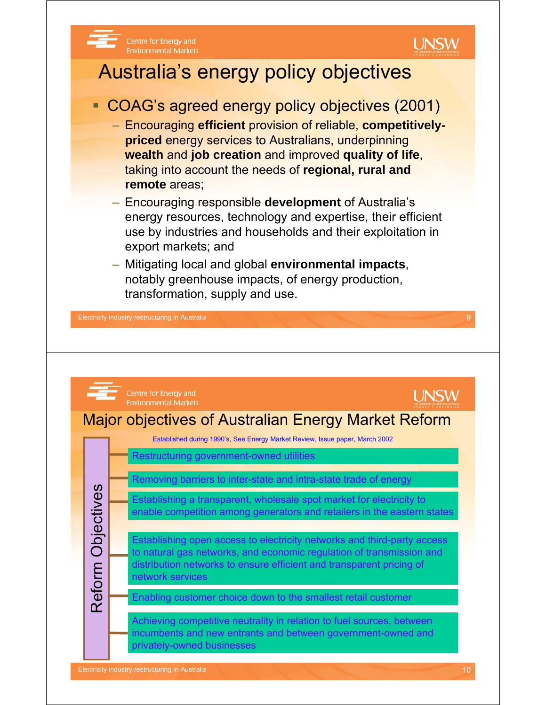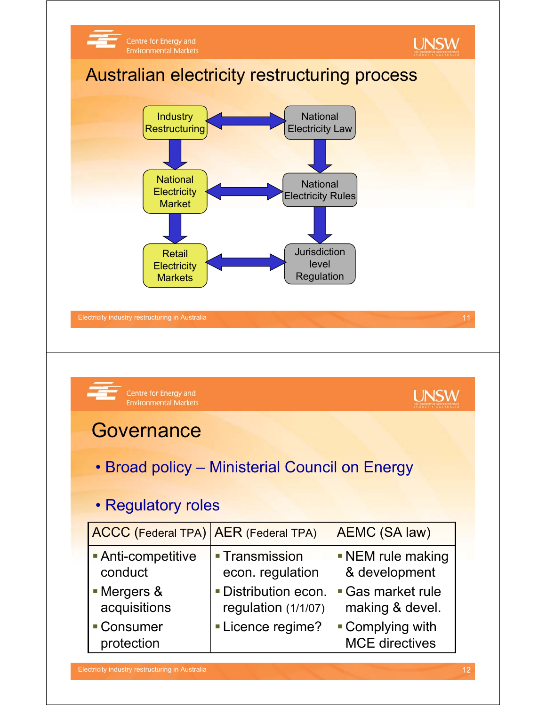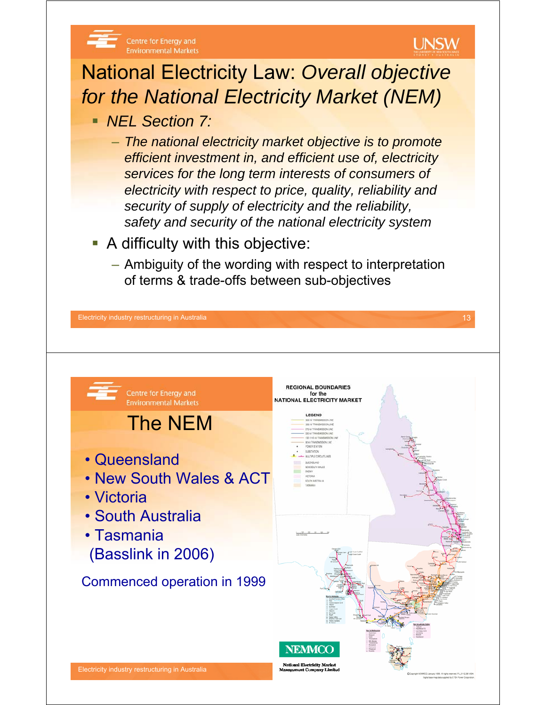

- **A difficulty with this objective:** 
	- Ambiguity of the wording with respect to interpretation of terms & trade-offs between sub-objectives

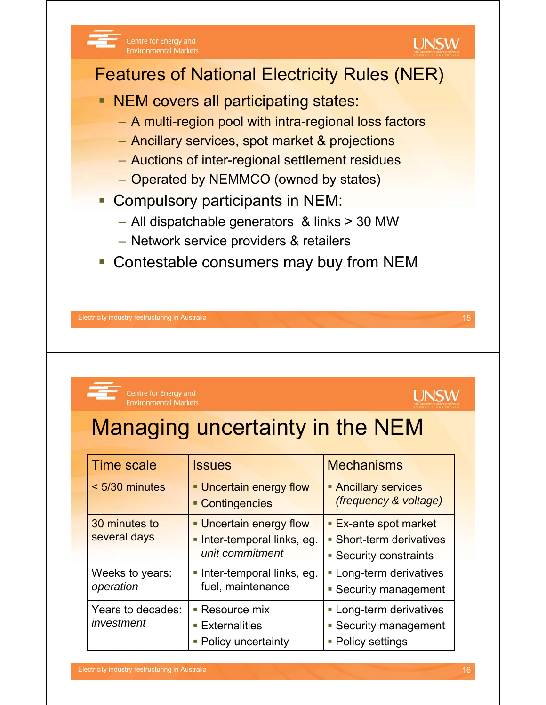



Centre for Energy and **Environmental Markets** 

# Managing uncertainty in the NEM

| <b>Time scale</b>               | <b>Issues</b>                                                             | <b>Mechanisms</b>                                                                |
|---------------------------------|---------------------------------------------------------------------------|----------------------------------------------------------------------------------|
| < 5/30 minutes                  | • Uncertain energy flow<br>• Contingencies                                | <b>Ancillary services</b><br>(frequency & voltage)                               |
| 30 minutes to<br>several days   | • Uncertain energy flow<br>· Inter-temporal links, eg.<br>unit commitment | <b>Ex-ante spot market</b><br>• Short-term derivatives<br>• Security constraints |
| Weeks to years:<br>operation    | Inter-temporal links, eg.<br>fuel, maintenance                            | • Long-term derivatives<br>• Security management                                 |
| Years to decades:<br>investment | Resource mix<br><b>Externalities</b><br>• Policy uncertainty              | • Long-term derivatives<br>• Security management<br>• Policy settings            |

**UNSW**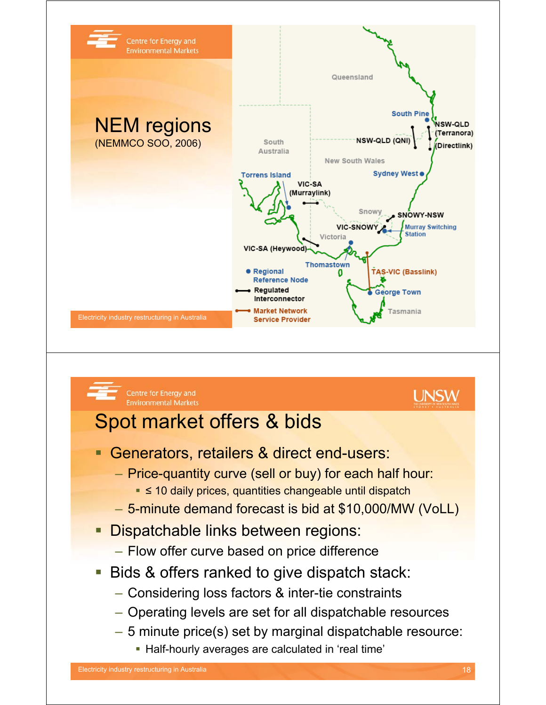

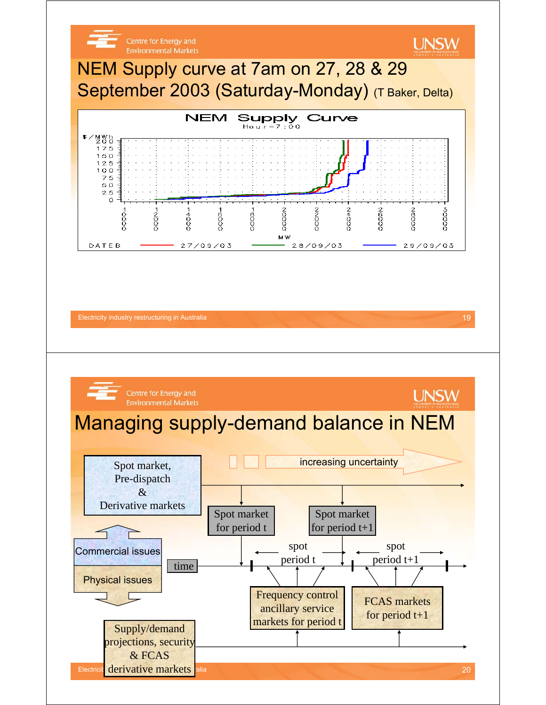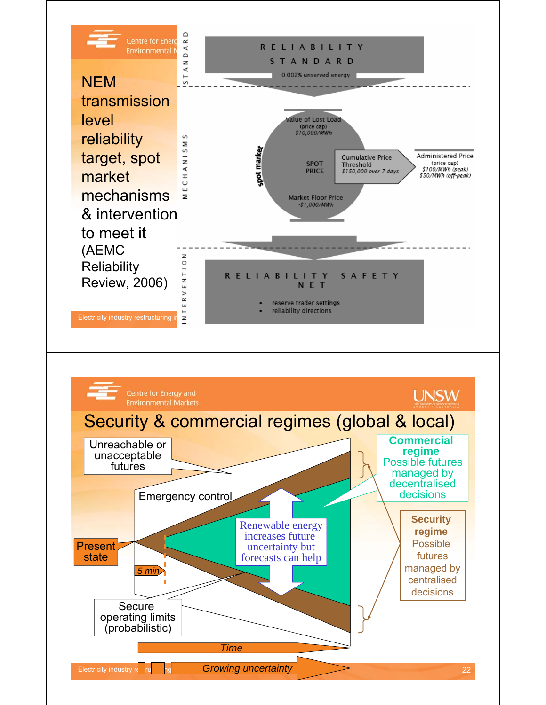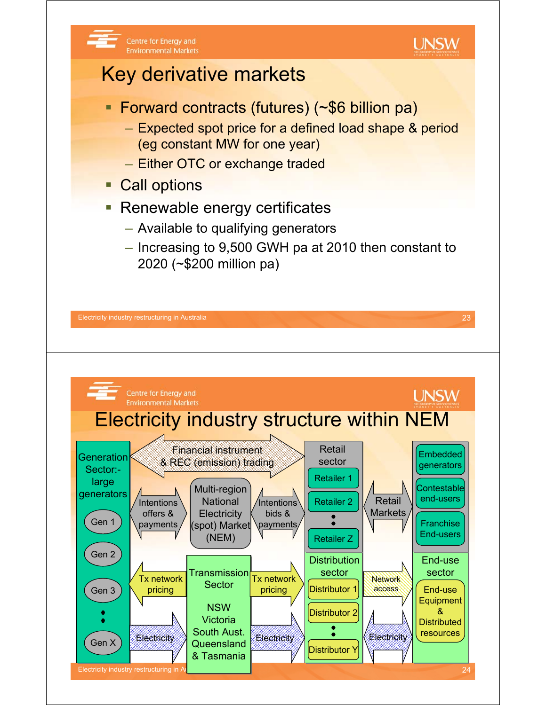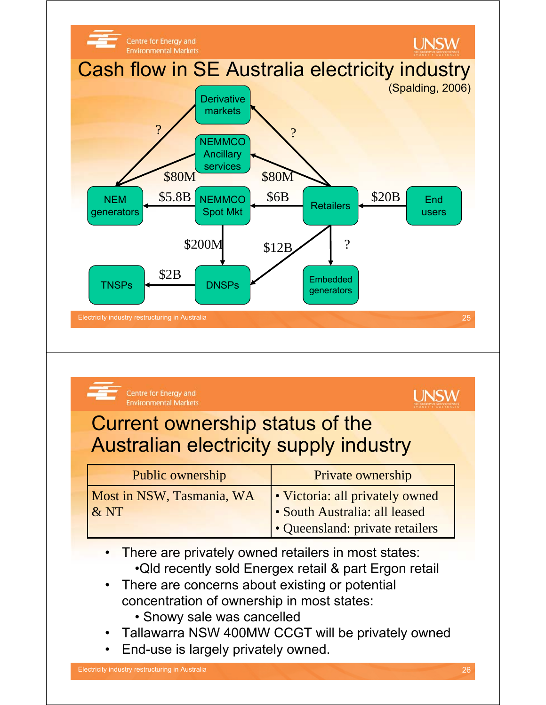

| Current ownership status of the<br><b>Australian electricity supply industry</b><br>Public ownership<br>Private ownership<br>Most in NSW, Tasmania, WA<br>• Victoria: all privately owned<br>&NT<br>• South Australia: all leased |
|-----------------------------------------------------------------------------------------------------------------------------------------------------------------------------------------------------------------------------------|
|                                                                                                                                                                                                                                   |
|                                                                                                                                                                                                                                   |
| • Queensland: private retailers                                                                                                                                                                                                   |

- Snowy sale was cancelled
- Tallawarra NSW 400MW CCGT will be privately owned
- End-use is largely privately owned.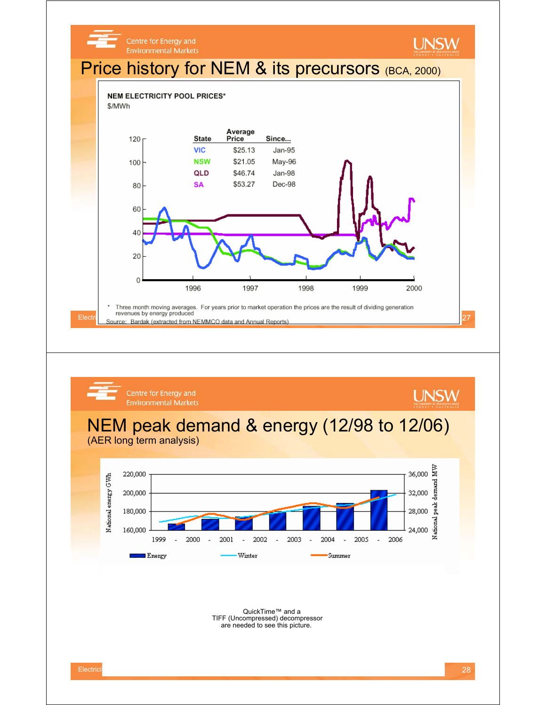



QuickTime™ and a TIFF (Uncompressed) decompressor are needed to see this picture.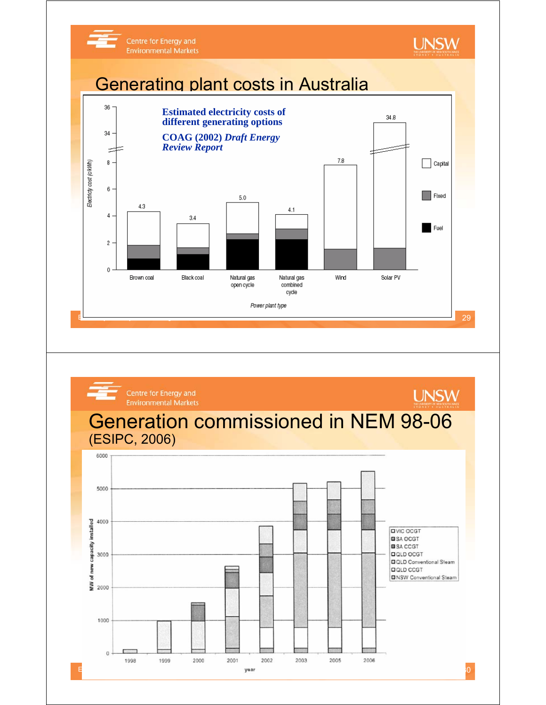

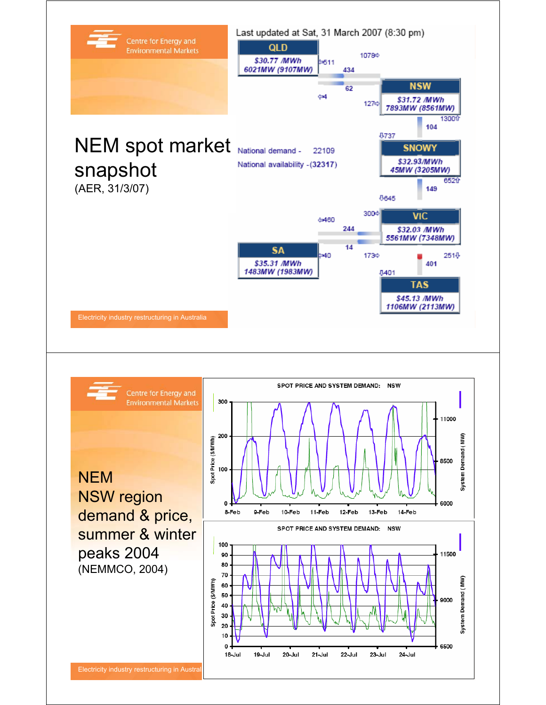

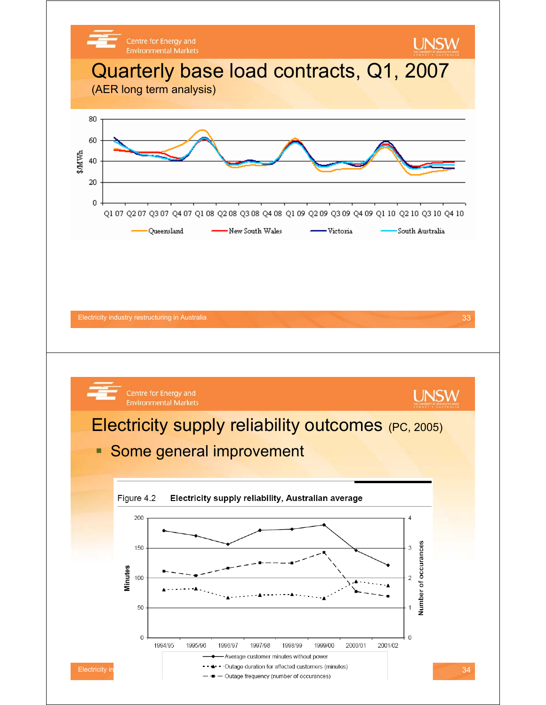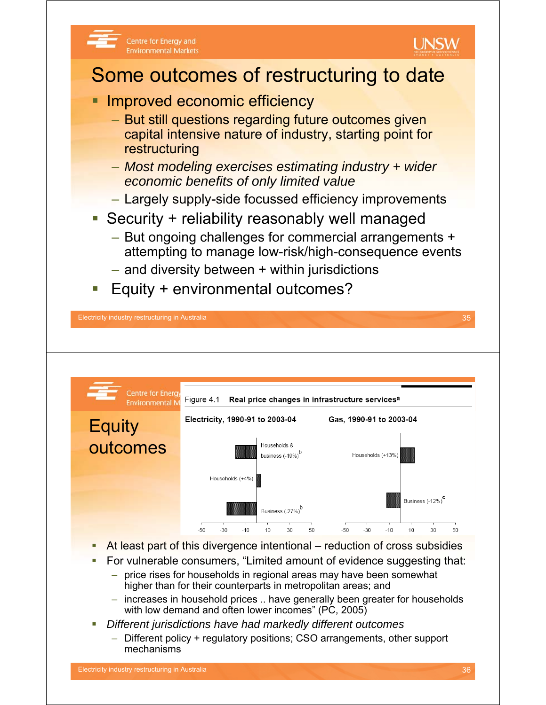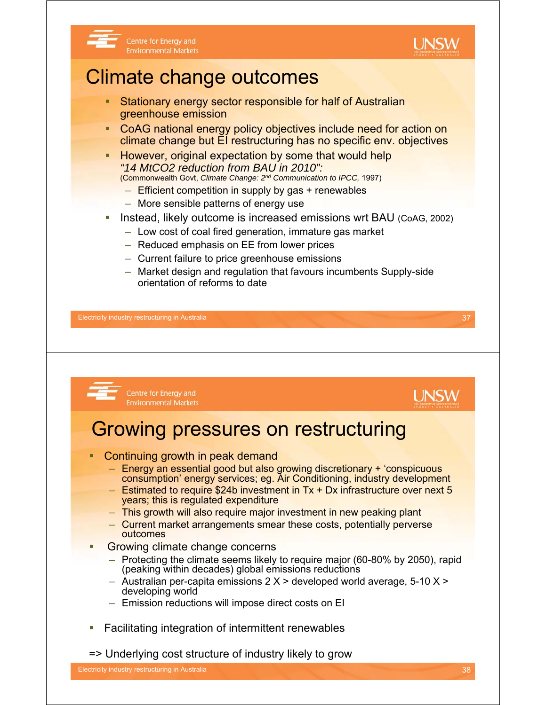

#### Centre for Energy and **Environmental Markets**

# Climate change outcomes

- **Stationary energy sector responsible for half of Australian** greenhouse emission
- CoAG national energy policy objectives include need for action on climate change but EI restructuring has no specific env. objectives
- **However, original expectation by some that would help** *"14 MtCO2 reduction from BAU in 2010":* (Commonwealth Govt, *Climate Change: 2nd Communication to IPCC,* 1997)
	- Efficient competition in supply by gas + renewables
	-
	- More sensible patterns of energy use
- Instead, likely outcome is increased emissions wrt BAU (CoAG, 2002)
	- Low cost of coal fired generation, immature gas market
	- Reduced emphasis on EE from lower prices
	- Current failure to price greenhouse emissions
	- Market design and regulation that favours incumbents Supply-side orientation of reforms to date

Electricity industry restructuring in Australia 37

#### Centre for Energy and **UNSW Environmental Markets** Growing pressures on restructuring Continuing growth in peak demand – Energy an essential good but also growing discretionary + 'conspicuous consumption' energy services; eg. Air Conditioning, industry development – Estimated to require \$24b investment in Tx + Dx infrastructure over next 5 years; this is regulated expenditure – This growth will also require major investment in new peaking plant – Current market arrangements smear these costs, potentially perverse outcomes **Growing climate change concerns** – Protecting the climate seems likely to require major (60-80% by 2050), rapid (peaking within decades) global emissions reductions  $-$  Australian per-capita emissions 2 X  $>$  developed world average, 5-10 X  $>$ developing world – Emission reductions will impose direct costs on EI • Facilitating integration of intermittent renewables => Underlying cost structure of industry likely to growElectricity industry restructuring in Australia 38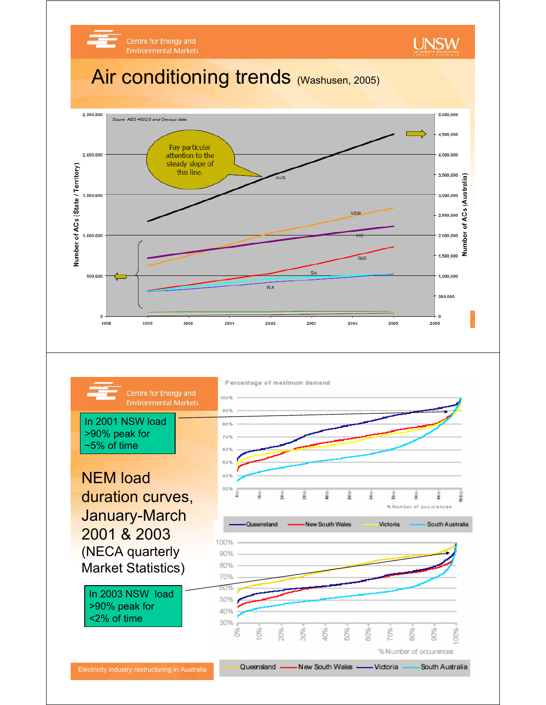

January-March 2001 & 2003 (NECA quarterly Market Statistics)

In 2003 NSW load >90% peak for <2% of time



% N umber of occurences

Electricity industry restructuring in Australia **40 Cure and 40 Cure and Australia** Australia **40 Cure and Australia**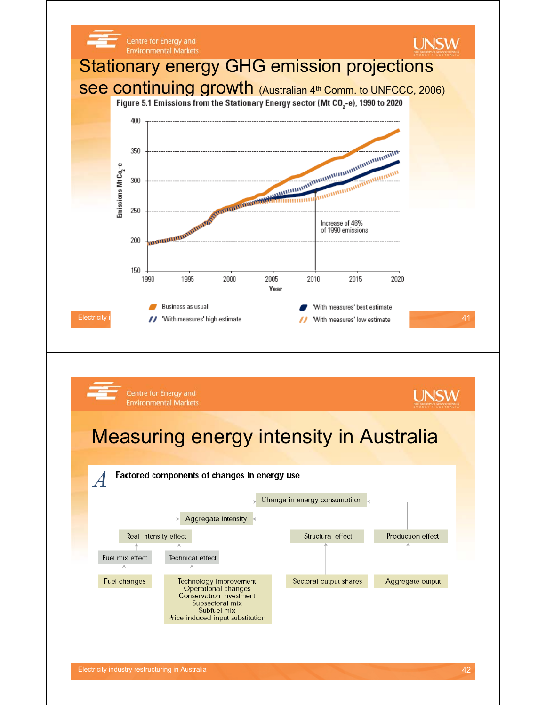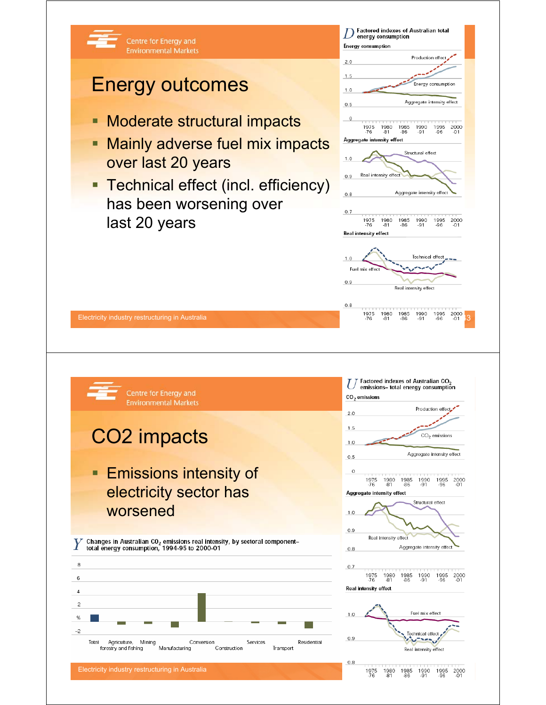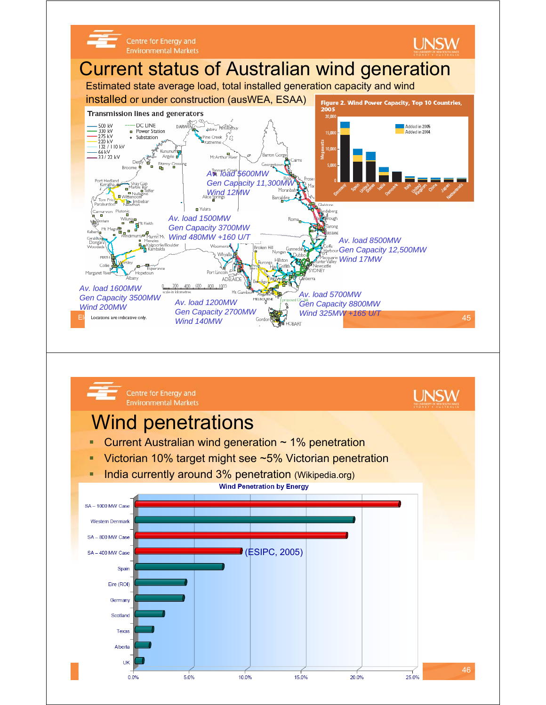

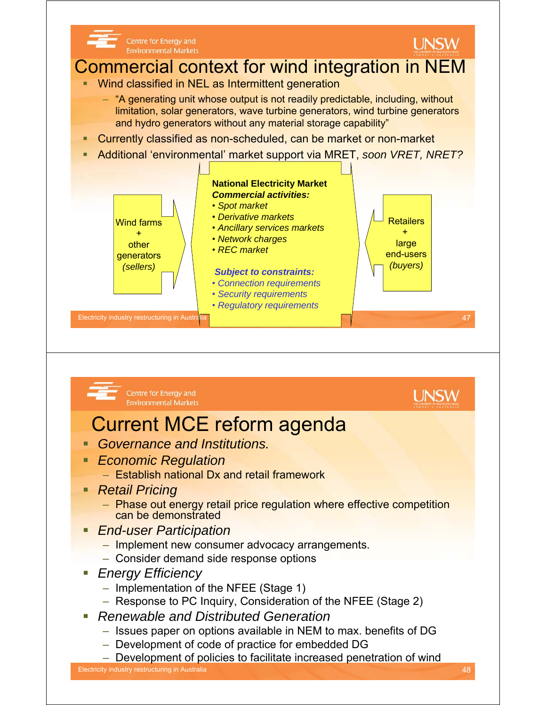

- *Renewable and Distributed Generation*
	- Issues paper on options available in NEM to max. benefits of DG
	- Development of code of practice for embedded DG
	- Development of policies to facilitate increased penetration of wind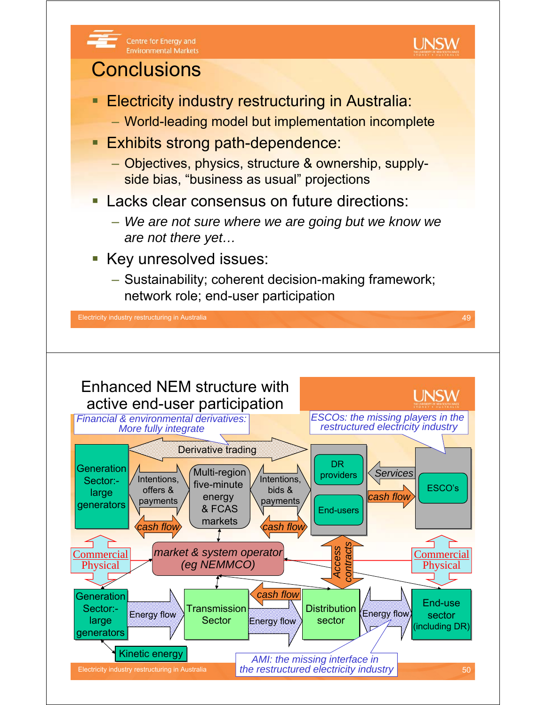